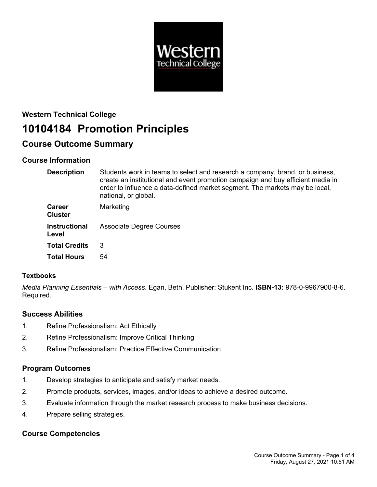

# **Western Technical College 10104184 Promotion Principles**

## **Course Outcome Summary**

## **Course Information**

| <b>Description</b>              | Students work in teams to select and research a company, brand, or business,<br>create an institutional and event promotion campaign and buy efficient media in<br>order to influence a data-defined market segment. The markets may be local,<br>national, or global. |
|---------------------------------|------------------------------------------------------------------------------------------------------------------------------------------------------------------------------------------------------------------------------------------------------------------------|
| <b>Career</b><br><b>Cluster</b> | Marketing                                                                                                                                                                                                                                                              |
| <b>Instructional</b><br>Level   | <b>Associate Degree Courses</b>                                                                                                                                                                                                                                        |
| <b>Total Credits</b>            | 3                                                                                                                                                                                                                                                                      |
| <b>Total Hours</b>              | 54                                                                                                                                                                                                                                                                     |

## **Textbooks**

*Media Planning Essentials – with Access*. Egan, Beth. Publisher: Stukent Inc. **ISBN-13:** 978-0-9967900-8-6. Required.

## **Success Abilities**

- 1. Refine Professionalism: Act Ethically
- 2. Refine Professionalism: Improve Critical Thinking
- 3. Refine Professionalism: Practice Effective Communication

## **Program Outcomes**

- 1. Develop strategies to anticipate and satisfy market needs.
- 2. Promote products, services, images, and/or ideas to achieve a desired outcome.
- 3. Evaluate information through the market research process to make business decisions.
- 4. Prepare selling strategies.

## **Course Competencies**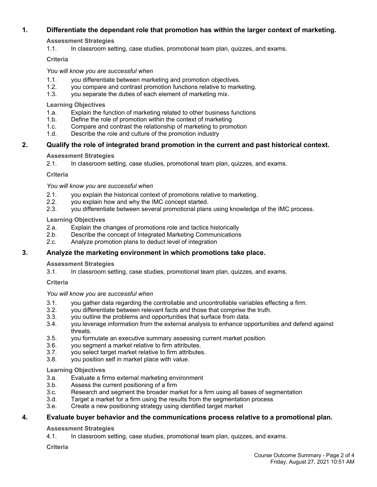### **1. Differentiate the dependant role that promotion has within the larger context of marketing.**

**Assessment Strategies**

1.1. In classroom setting, case studies, promotional team plan, quizzes, and exams.

#### **Criteria**

*You will know you are successful when*

- 1.1. you differentiate between marketing and promotion objectives.
- 1.2. you compare and contrast promotion functions relative to marketing.
- 1.3. you separate the duties of each element of marketing mix.

#### **Learning Objectives**

- 1.a. Explain the function of marketing related to other business functions
- 1.b. Define the role of promotion within the context of marketing
- 1.c. Compare and contrast the relationship of marketing to promotion
- 1.d. Describe the role and culture of the promotion industry

#### **2. Qualify the role of integrated brand promotion in the current and past historical context.**

#### **Assessment Strategies**

2.1. In classroom setting, case studies, promotional team plan, quizzes, and exams.

#### **Criteria**

*You will know you are successful when*

- 2.1. you explain the historical context of promotions relative to marketing.
- 2.2. you explain how and why the IMC concept started.
- 2.3. you differentiate between several promotional plans using knowledge of the IMC process.

#### **Learning Objectives**

- 2.a. Explain the changes of promotions role and tactics historically
- 2.b. Describe the concept of Integrated Marketing Communications
- 2.c. Analyze promotion plans to deduct level of integration

#### **3. Analyze the marketing environment in which promotions take place.**

#### **Assessment Strategies**

3.1. In classroom setting, case studies, promotional team plan, quizzes, and exams.

#### **Criteria**

#### *You will know you are successful when*

- 3.1. you gather data regarding the controllable and uncontrollable variables effecting a firm.
- 3.2. you differentiate between relevant facts and those that comprise the truth.
- 3.3. you outline the problems and opportunities that surface from data.
- 3.4. you leverage information from the external analysis to enhance opportunities and defend against threats.
- 3.5. you formulate an executive summary assessing current market position.
- 3.6. you segment a market relative to firm attributes.
- 3.7. you select target market relative to firm attributes.
- 3.8. you position self in market place with value.

#### **Learning Objectives**

- 3.a. Evaluate a firms external marketing environment
- 3.b. Assess the current positioning of a firm
- 3.c. Research and segment the broader market for a firm using all bases of segmentation
- 3.d. Target a market for a firm using the results from the segmentation process
- 3.e. Create a new positioning strategy using identified target market

#### **4. Evaluate buyer behavior and the communications process relative to a promotional plan.**

#### **Assessment Strategies**

4.1. In classroom setting, case studies, promotional team plan, quizzes, and exams.

**Criteria**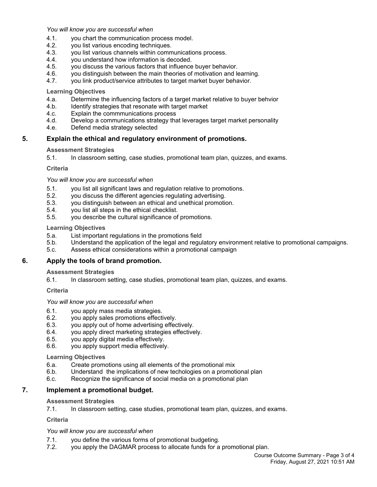*You will know you are successful when*

- 4.1. you chart the communication process model.
- 4.2. you list various encoding techniques.
- 4.3. you list various channels within communications process.
- 4.4. you understand how information is decoded.
- 4.5. you discuss the various factors that influence buyer behavior.
- 4.6. you distinguish between the main theories of motivation and learning.<br>4.7. you link product/service attributes to target market buver behavior.
- you link product/service attributes to target market buyer behavior.

#### **Learning Objectives**

- 4.a. Determine the influencing factors of a target market relative to buyer behvior
- 4.b. Identify strategies that resonate with target market
- 4.c. Explain the commmunications process
- 4.d. Develop a communications strategy that leverages target market personality
- 4.e. Defend media strategy selected

#### **5. Explain the ethical and regulatory environment of promotions.**

#### **Assessment Strategies**

5.1. In classroom setting, case studies, promotional team plan, quizzes, and exams.

#### **Criteria**

*You will know you are successful when*

- 5.1. you list all significant laws and regulation relative to promotions.
- 5.2. you discuss the different agencies regulating advertising.
- 5.3. you distinguish between an ethical and unethical promotion.
- 5.4. you list all steps in the ethical checklist.
- 5.5. you describe the cultural significance of promotions.

#### **Learning Objectives**

- 5.a. List important regulations in the promotions field
- 5.b. Understand the application of the legal and regulatory environment relative to promotional campaigns.
- 5.c. Assess ethical considerations within a promotional campaign

#### **6. Apply the tools of brand promotion.**

#### **Assessment Strategies**

6.1. In classroom setting, case studies, promotional team plan, quizzes, and exams.

#### **Criteria**

*You will know you are successful when*

- 6.1. you apply mass media strategies.
- 6.2. you apply sales promotions effectively.
- 6.3. you apply out of home advertising effectively.
- 6.4. you apply direct marketing strategies effectively.
- 6.5. you apply digital media effectively.
- 6.6. you apply support media effectively.

#### **Learning Objectives**

- 6.a. Create promotions using all elements of the promotional mix
- 6.b. Understand the implications of new techologies on a promotional plan
- 6.c. Recognize the significance of social media on a promotional plan

#### **7. Implement a promotional budget.**

#### **Assessment Strategies**

7.1. In classroom setting, case studies, promotional team plan, quizzes, and exams.

#### **Criteria**

#### *You will know you are successful when*

- 7.1. you define the various forms of promotional budgeting.
- 7.2. you apply the DAGMAR process to allocate funds for a promotional plan.